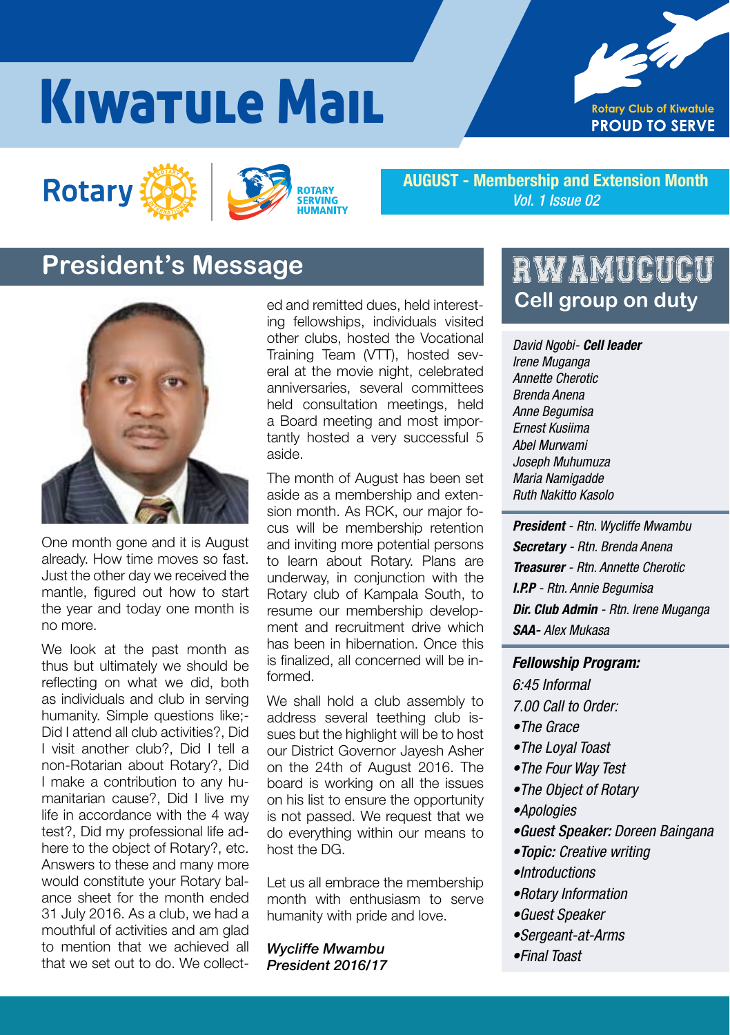# Kiwatule Mail







AUGUST - Membership and Extension Month *Vol. 1 Issue 02*

### **President's Message**



One month gone and it is August already. How time moves so fast. Just the other day we received the mantle, figured out how to start the year and today one month is no more.

We look at the past month as thus but ultimately we should be reflecting on what we did, both as individuals and club in serving humanity. Simple questions like;- Did I attend all club activities?, Did I visit another club?, Did I tell a non-Rotarian about Rotary?, Did I make a contribution to any humanitarian cause?, Did I live my life in accordance with the 4 way test?, Did my professional life adhere to the object of Rotary?, etc. Answers to these and many more would constitute your Rotary balance sheet for the month ended 31 July 2016. As a club, we had a mouthful of activities and am glad to mention that we achieved all that we set out to do. We collected and remitted dues, held interesting fellowships, individuals visited other clubs, hosted the Vocational Training Team (VTT), hosted several at the movie night, celebrated anniversaries, several committees held consultation meetings, held a Board meeting and most importantly hosted a very successful 5 aside.

The month of August has been set aside as a membership and extension month. As RCK, our major focus will be membership retention and inviting more potential persons to learn about Rotary. Plans are underway, in conjunction with the Rotary club of Kampala South, to resume our membership development and recruitment drive which has been in hibernation. Once this is finalized, all concerned will be informed.

We shall hold a club assembly to address several teething club issues but the highlight will be to host our District Governor Jayesh Asher on the 24th of August 2016. The board is working on all the issues on his list to ensure the opportunity is not passed. We request that we do everything within our means to host the DG.

Let us all embrace the membership month with enthusiasm to serve humanity with pride and love.

*Wycliffe Mwambu President 2016/17*

### RWAMUCUCU **Cell group on duty**

*David Ngobi- Cell leader Irene Muganga Annette Cherotic Brenda Anena Anne Begumisa Ernest Kusiima Abel Murwami Joseph Muhumuza Maria Namigadde Ruth Nakitto Kasolo*

*President - Rtn. Wycliffe Mwambu Secretary - Rtn. Brenda Anena Treasurer - Rtn. Annette Cherotic I.P.P - Rtn. Annie Begumisa Dir. Club Admin - Rtn. Irene Muganga SAA- Alex Mukasa*

#### *Fellowship Program:*

*6:45 Informal 7.00 Call to Order:*

- •The Grace
- •The Loyal Toast
- •The Four Way Test
- •The Object of Rotary
- •Apologies
- •*Guest Speaker: Doreen Baingana*
- •*Topic: Creative writing*
- •Introductions
- •Rotary Information
- •Guest Speaker
- •Sergeant-at-Arms
- •Final Toast

*Kiwatule Mail 2016/17 1*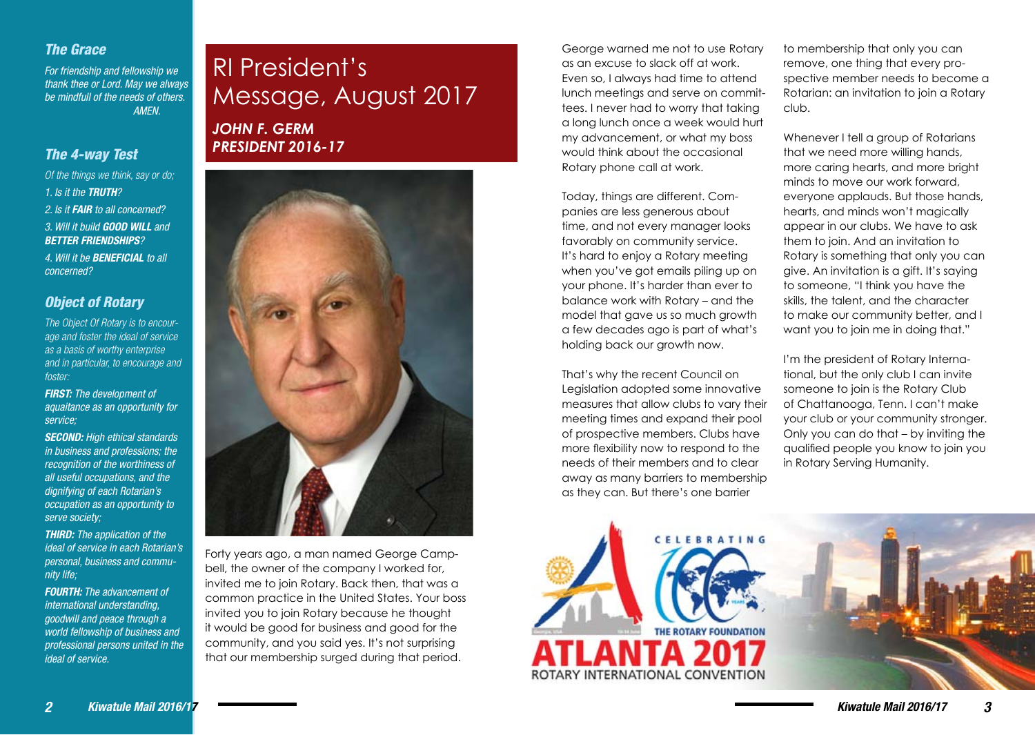### *The Grace*

For friendship and fellowship *we*  thank thee or Lord. May we always *be mindfull of the needs of others. AMEN.*

### *The 4-way Test*

*Of the things we think, say or do; 1. Is it the TRUTH? 2. Is it FAIR to all concerned? 3. Will it build GOOD WILL and BETTER FRIENDSHIPS? 4. Will it be BENEFICIAL to all concerned?*

### *Object of Rotary*

*The Object Of Rotary is to encourage and foster the ideal of service as a basis of worthy enterprise and in particular, to encourage and foster:*

*FIRST: The development of aquaitance as an opportunity for service;*

*SECOND: High ethical standards in business and professions; the recognition of the worthiness of all useful occupations, and the dignifying of each Rotarian's occupation as an opportunity to serve society;*

*THIRD: The application of the ideal of service in each Rotarian's personal, business and community life;*

*FOURTH:* The advancement of *international understanding, goodwill and peace through a world fellowship of business and professional persons united in the ideal of service.*

# RI President's Message, August 2017

*JOHN F. GERM PRESIDENT 2016-17*



Forty years ago, a man named George Campbell, the owner of the company I worked for, invited me to join Rotary. Back then, that was a common practice in the United States. Your boss invited you to join Rotary because he thought it would be good for business and good for the community, and you said yes. It's not surprising that our membership surged during that period.

George warned me not to use Rotary as an excuse to slack off at work. Even so, I always had time to attend lunch meetings and serve on committees. I never had to worry that taking a long lunch once a week would hurt my advancement, or what my boss would think about the occasional Rotary phone call at work.

Today, things are different. Companies are less generous about time, and not every manager looks favorably on community service. It's hard to enjoy a Rotary meeting when you've got emails piling up on your phone. It's harder than ever to balance work with Rotary – and the model that gave us so much growth a few decades ago is part of what's holding back our growth now.

That's why the recent Council on Legislation adopted some innovative measures that allow clubs to vary their meeting times and expand their pool of prospective members. Clubs have more flexibility now to respond to the needs of their members and to clear away as many barriers to membership as they can. But there's one barrier



to membership that only you can remove, one thing that every prospective member needs to become a Rotarian: an invitation to join a Rotary club.

Whenever I tell a group of Rotarians that we need more willing hands, more caring hearts, and more bright minds to move our work forward, everyone applauds. But those hands, hearts, and minds won't magically appear in our clubs. We have to ask them to join. And an invitation to Rotary is something that only you can give. An invitation is a gift. It's saying to someone, "I think you have the skills, the talent, and the character to make our community better, and I want you to join me in doing that."

I'm the president of Rotary International, but the only club I can invite someone to join is the Rotary Club of Chattanooga, Tenn. I can't make your club or your community stronger. Only you can do that – by inviting the qualified people you know to join you in Rotary Serving Humanity.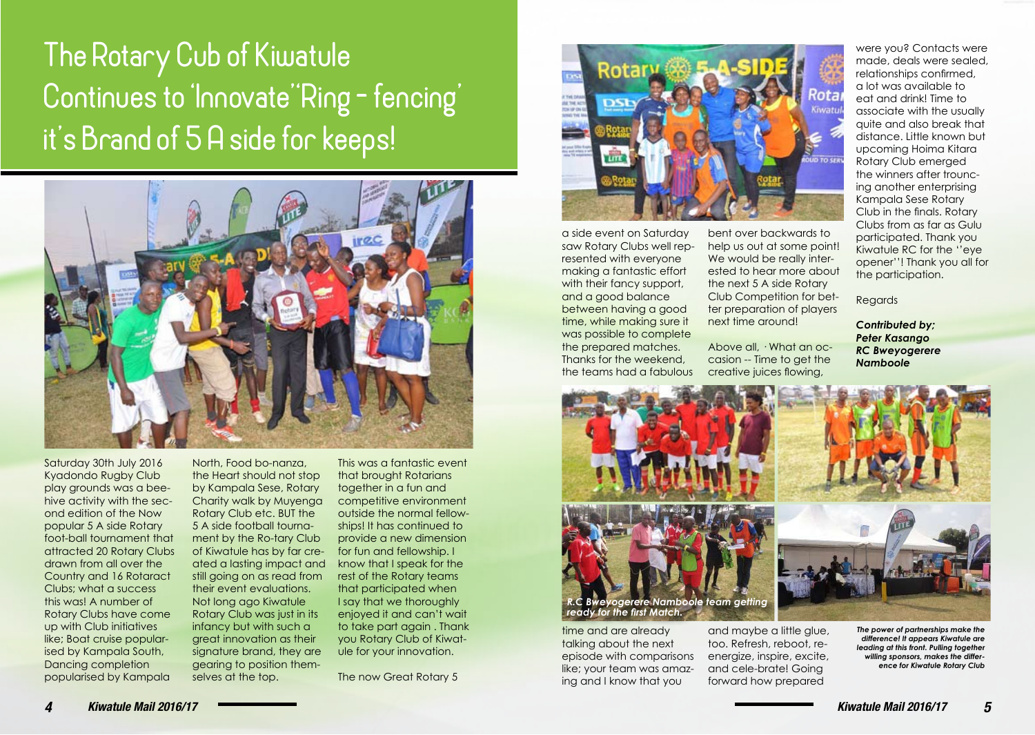# The Rotary Cub of Kiwatule Continues to 'Innovate''Ring - fencing' it's Brand of 5 A side for keeps!



Saturday 30th July 2016 Kyadondo Rugby Club play grounds was a beehive activity with the second edition of the Now popular 5 A side Rotary foot-ball tournament that attracted 20 Rotary Clubs drawn from all over the Country and 16 Rotaract Clubs; what a success this was! A number of Rotary Clubs have come up with Club initiatives like; Boat cruise popularised by Kampala South, Dancing completion popularised by Kampala

North, Food bo-nanza, the Heart should not stop by Kampala Sese, Rotary Charity walk by Muyenga Rotary Club etc. BUT the 5 A side football tournament by the Ro-tary Club of Kiwatule has by far created a lasting impact and still going on as read from their event evaluations. Not long ago Kiwatule Rotary Club was just in its infancy but with such a great innovation as their signature brand, they are gearing to position themselves at the top.

This was a fantastic event that brought Rotarians together in a fun and competitive environment outside the normal fellowships! It has continued to provide a new dimension for fun and fellowship. I know that I speak for the rest of the Rotary teams that participated when I say that we thoroughly enjoyed it and can't wait to take part again . Thank you Rotary Club of Kiwatule for your innovation.

The now Great Rotary 5



a side event on Saturday saw Rotary Clubs well represented with everyone making a fantastic effort with their fancy support, and a good balance between having a good time, while making sure it was possible to complete the prepared matches. Thanks for the weekend, the teams had a fabulous

bent over backwards to help us out at some point! We would be really interested to hear more about the next 5 A side Rotary Club Competition for better preparation of players next time around!

Above all, · What an occasion -- Time to get the creative juices flowing,

were you? Contacts were made, deals were sealed, relationships confirmed, a lot was available to eat and drink! Time to associate with the usually quite and also break that distance. Little known but upcoming Hoima Kitara Rotary Club emerged the winners after trouncing another enterprising Kampala Sese Rotary Club in the finals. Rotary Clubs from as far as Gulu participated. Thank you Kiwatule RC for the ''eye opener''! Thank you all for the participation.

Regards

*Contributed by; Peter Kasango RC Bweyogerere Namboole*



time and are already talking about the next episode with comparisons like; your team was amazing and I know that you

and maybe a little glue. too. Refresh, reboot, reenergize, inspire, excite, and cele-brate! Going forward how prepared

*The power of partnerships make the difference! It appears Kiwatule are leading at this front. Pulling together willing sponsors, makes the difference for Kiwatule Rotary Club*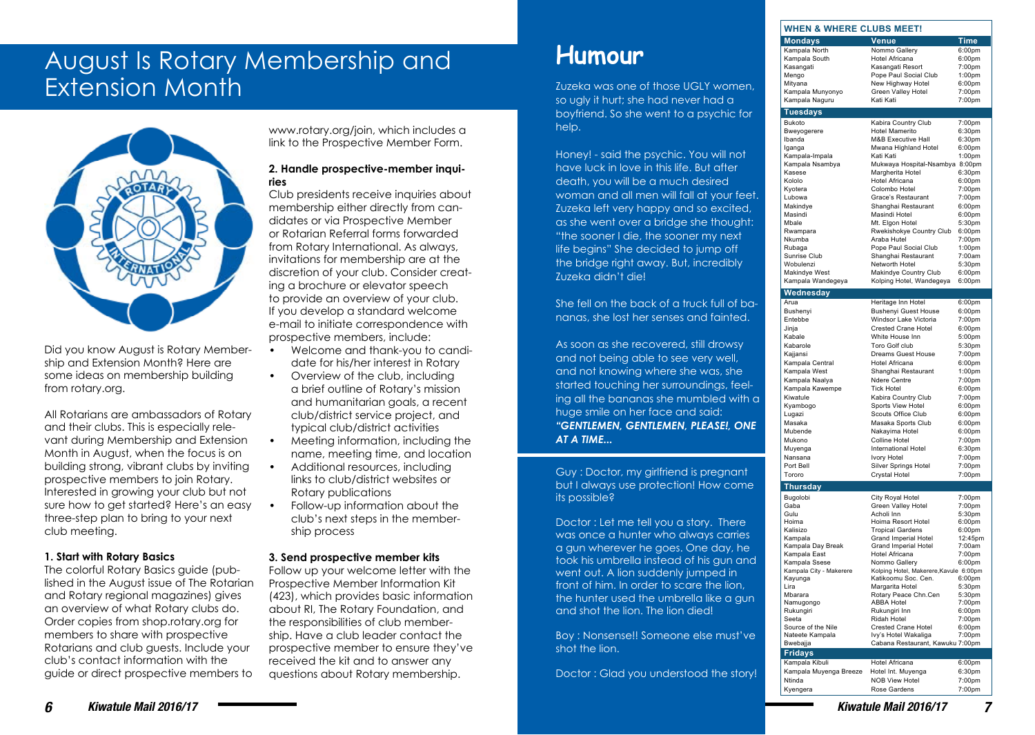### August Is Rotary Membership and Extension Month



Did you know August is Rotary Membership and Extension Month? Here are some ideas on membership building from rotary.org.

All Rotarians are ambassadors of Rotary and their clubs. This is especially relevant during Membership and Extension Month in August, when the focus is on building strong, vibrant clubs by inviting prospective members to join Rotary. Interested in growing your club but not sure how to get started? Here's an easy three-step plan to bring to your next club meeting.

### **1. Start with Rotary Basics**

The colorful Rotary Basics guide (published in the August issue of The Rotarian and Rotary regional magazines) gives an overview of what Rotary clubs do. Order copies from shop.rotary.org for members to share with prospective Rotarians and club guests. Include your club's contact information with the guide or direct prospective members to www.rotary.org/join, which includes a link to the Prospective Member Form.

#### **2. Handle prospective-member inquiries**

Club presidents receive inquiries about membership either directly from candidates or via Prospective Member or Rotarian Referral forms forwarded from Rotary International. As always, invitations for membership are at the discretion of your club. Consider creating a brochure or elevator speech to provide an overview of your club. If you develop a standard welcome e-mail to initiate correspondence with prospective members, include:

- Welcome and thank-you to candidate for his/her interest in Rotary
- Overview of the club, including a brief outline of Rotary's mission and humanitarian goals, a recent club/district service project, and typical club/district activities
- Meeting information, including the name, meeting time, and location
- Additional resources, including links to club/district websites or Rotary publications
- Follow-up information about the club's next steps in the membership process

### **3. Send prospective member kits**

Follow up your welcome letter with the Prospective Member Information Kit (423), which provides basic information about RI, The Rotary Foundation, and the responsibilities of club membership. Have a club leader contact the prospective member to ensure they've received the kit and to answer any questions about Rotary membership.

## **Humour**

Zuzeka was one of those UGLY women, so ugly it hurt; she had never had a boyfriend. So she went to a psychic for help.

Honey! - said the psychic. You will not have luck in love in this life. But after death, you will be a much desired woman and all men will fall at your feet. Zuzeka left very happy and so excited, as she went over a bridge she thought: "the sooner I die, the sooner my next life begins" She decided to jump off the bridge right away. But, incredibly Zuzeka didn't die!

She fell on the back of a truck full of bananas, she lost her senses and fainted.

As soon as she recovered, still drowsy and not being able to see very well, and not knowing where she was, she started touching her surroundings, feeling all the bananas she mumbled with a huge smile on her face and said: *"GENTLEMEN, GENTLEMEN, PLEASE!, ONE AT A TIME...*

Guy : Doctor, my girlfriend is pregnant but I always use protection! How come its possible?

Doctor : Let me tell you a story. There was once a hunter who always carries a gun wherever he goes. One day, he took his umbrella instead of his gun and went out. A lion suddenly jumped in front of him. In order to scare the lion, the hunter used the umbrella like a gun and shot the lion. The lion died!

Boy : Nonsense!! Someone else must've shot the lion.

Doctor : Glad you understood the story!

| Kampala North                     | Nommo Gallery                                            | 6:00pm             |
|-----------------------------------|----------------------------------------------------------|--------------------|
| Kampala South                     | Hotel Africana                                           | 6:00pm             |
| Kasangati                         | Kasangati Resort                                         | 7:00pm             |
| Mengo                             | Pope Paul Social Club                                    | 1:00pm             |
| Mityana                           | New Highway Hotel                                        | 6:00pm             |
| Kampala Munyonyo                  | Green Valley Hotel                                       | 7:00pm             |
| Kampala Naguru                    | Kati Kati                                                | 7:00pm             |
| <b>Tuesdays</b>                   |                                                          |                    |
| <b>Bukoto</b>                     | Kabira Country Club                                      | 7:00pm             |
| Bweyogerere                       | Hotel Mamerito                                           | 6:30pm             |
| Ibanda                            | M&B Executive Hall                                       | 6:30pm             |
| Iganga                            | Mwana Highland Hotel                                     | 6:00pm             |
| Kampala-Impala                    | Kati Kati                                                | 1:00pm             |
| Kampala Nsambya                   | Mukwaya Hospital-Nsambya 8:00pm                          |                    |
| Kasese<br>Kololo                  | Margherita Hotel<br>Hotel Africana                       | 6:30pm<br>6:00pm   |
| Kyotera                           | Colombo Hotel                                            | 7:00pm             |
| Lubowa                            | Grace's Restaurant                                       | 7:00pm             |
| Makindye                          | Shanghai Restaurant                                      | 6:00pm             |
| Masindi                           | Masindi Hotel                                            | 6:00pm             |
| Mbale                             | Mt. Elgon Hotel                                          | 5:30pm             |
| Rwampara                          | Rwekishokye Country Club                                 | 6:00 <sub>pm</sub> |
| Nkumba                            | Araba Hutel                                              | 7:00pm             |
| Rubaga                            | Pope Paul Social Club                                    | 1:00pm             |
| Sunrise Club                      | Shanghai Restaurant                                      | 7:00am             |
| Wobulenzi                         | Networth Hotel                                           | 5:30pm             |
| Makindye West                     | Makindye Country Club                                    | 6:00pm             |
| Kampala Wandegeya                 | Kolping Hotel, Wandegeya                                 | 6:00pm             |
| <u>Wednesday</u>                  |                                                          |                    |
| Arua                              | Heritage Inn Hotel                                       | 6:00 <sub>pm</sub> |
| Bushenyi                          | <b>Bushenyi Guest House</b>                              | 6:00pm             |
| Entebbe                           | Windsor Lake Victoria                                    | 7:00pm             |
| Jinja                             | <b>Crested Crane Hotel</b>                               | 6:00pm             |
| Kabale                            | White House Inn                                          | 5:00pm             |
| Kabarole                          | Toro Golf club                                           | 5:30pm             |
| Kajjansi                          | Dreams Guest House                                       | 7:00pm             |
| Kampala Central                   | <b>Hotel Africana</b>                                    | 6:00pm             |
| Kampala West                      | Shanghai Restaurant<br>Ndere Centre                      | 1:00pm             |
| Kampala Naalya<br>Kampala Kawempe | <b>Tick Hotel</b>                                        | 7:00pm<br>6:00pm   |
| Kiwatule                          | Kabira Country Club                                      | 7:00pm             |
| Kyambogo                          | Sports View Hotel                                        | 6:00pm             |
| Lugazi                            | Scouts Office Club                                       | 6:00pm             |
| Masaka                            | Masaka Sports Club                                       | 6:00pm             |
| Mubende                           | Nakayima Hotel                                           | 6:00pm             |
| Mukono                            | Colline Hotel                                            | 7:00pm             |
| Muyenga                           | International Hotel                                      | 6:30 <sub>pm</sub> |
| Nansana                           | Ivory Hotel                                              | 7:00pm             |
| Port Bell                         | Silver Springs Hotel                                     | 7:00pm             |
| Tororo                            | Crystal Hotel                                            | 7:00pm             |
| <b>Thursday</b>                   |                                                          |                    |
| Bugolobi                          | City Royal Hotel                                         | 7:00pm             |
| Gaba                              | Green Valley Hotel                                       | 7:00pm             |
| Gulu                              | Acholi Inn                                               | 5:30pm             |
| Hoima                             | Hoima Resort Hotel                                       | 6:00pm             |
| Kalisizo                          | <b>Tropical Gardens</b>                                  | 6:00pm             |
| Kampala                           | Grand Imperial Hotel                                     | 12:45pm            |
| Kampala Day Break                 | <b>Grand Imperial Hotel</b>                              | 7:00am             |
| Kampala East<br>Kampala Ssese     | Hotel Africana<br>Nommo Gallery                          | 7:00pm<br>6:00pm   |
| Kampala City - Makerere           | Kolping Hotel, Makerere, Kavule 6:00pm                   |                    |
| Kayunga                           | Katikoomu Soc. Cen.                                      | 6:00pm             |
| Lira                              | Margarita Hotel                                          | 5:30pm             |
| Mbarara                           | Rotary Peace Chn.Cen                                     | 5:30pm             |
| Namugongo                         | <b>ABBA Hotel</b>                                        | 7:00pm             |
| Rukungiri                         | Rukungiri Inn                                            | 6:00pm             |
| Seeta                             | Ridah Hotel                                              | 7:00pm             |
| Source of the Nile                | Crested Crane Hotel                                      | 6:00pm             |
| Nateete Kampala                   | Ivy's Hotel Wakaliga<br>Cabana Restaurant, Kawuku 7:00pm | 7:00pm             |
| Bwebajja                          |                                                          |                    |
| <b>Fridays</b><br>Kampala Kibuli  | Hotel Africana                                           | 6:00pm             |
| Kampala Muyenga Breeze            | Hotel Int. Muyenga                                       | 6:30pm             |
| Ntinda                            | <b>NOB View Hotel</b>                                    | 7:00pm             |
|                                   |                                                          |                    |

**WHEN & WHERE CLUBS MEET! Mondavs** Venu

Kyengera Rose Gardens 7:00pm